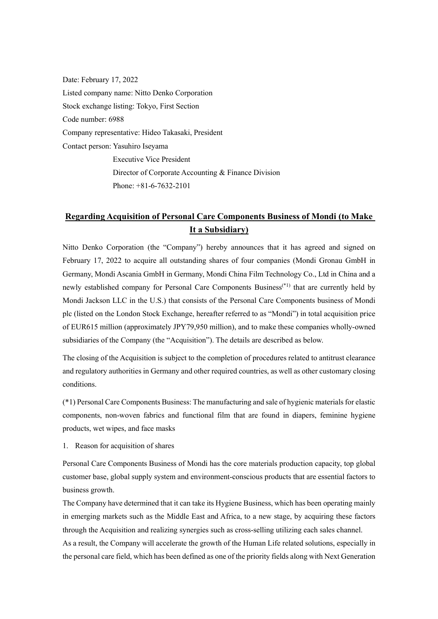Date: February 17, 2022 Listed company name: Nitto Denko Corporation Stock exchange listing: Tokyo, First Section Code number: 6988 Company representative: Hideo Takasaki, President Contact person: Yasuhiro Iseyama Executive Vice President Director of Corporate Accounting & Finance Division Phone: +81-6-7632-2101

# Regarding Acquisition of Personal Care Components Business of Mondi (to Make It a Subsidiary)

Nitto Denko Corporation (the "Company") hereby announces that it has agreed and signed on February 17, 2022 to acquire all outstanding shares of four companies (Mondi Gronau GmbH in Germany, Mondi Ascania GmbH in Germany, Mondi China Film Technology Co., Ltd in China and a newly established company for Personal Care Components Business<sup>(\*1)</sup> that are currently held by Mondi Jackson LLC in the U.S.) that consists of the Personal Care Components business of Mondi plc (listed on the London Stock Exchange, hereafter referred to as "Mondi") in total acquisition price of EUR615 million (approximately JPY79,950 million), and to make these companies wholly-owned subsidiaries of the Company (the "Acquisition"). The details are described as below.

The closing of the Acquisition is subject to the completion of procedures related to antitrust clearance and regulatory authorities in Germany and other required countries, as well as other customary closing conditions.

(\*1) Personal Care Components Business: The manufacturing and sale of hygienic materials for elastic components, non-woven fabrics and functional film that are found in diapers, feminine hygiene products, wet wipes, and face masks

1. Reason for acquisition of shares

Personal Care Components Business of Mondi has the core materials production capacity, top global customer base, global supply system and environment-conscious products that are essential factors to business growth.

The Company have determined that it can take its Hygiene Business, which has been operating mainly in emerging markets such as the Middle East and Africa, to a new stage, by acquiring these factors through the Acquisition and realizing synergies such as cross-selling utilizing each sales channel.

As a result, the Company will accelerate the growth of the Human Life related solutions, especially in the personal care field, which has been defined as one of the priority fields along with Next Generation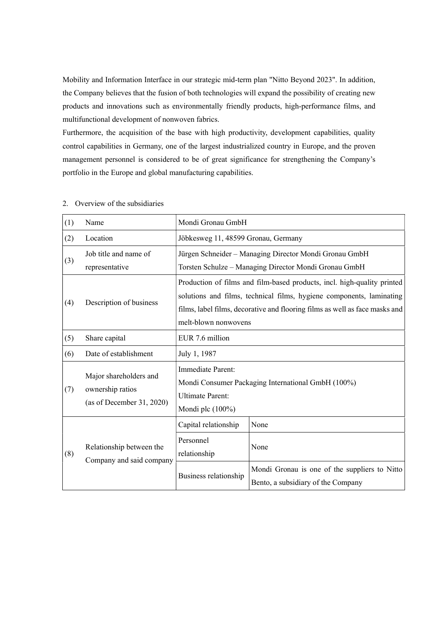Mobility and Information Interface in our strategic mid-term plan "Nitto Beyond 2023". In addition, the Company believes that the fusion of both technologies will expand the possibility of creating new products and innovations such as environmentally friendly products, high-performance films, and multifunctional development of nonwoven fabrics.

Furthermore, the acquisition of the base with high productivity, development capabilities, quality control capabilities in Germany, one of the largest industrialized country in Europe, and the proven management personnel is considered to be of great significance for strengthening the Company's portfolio in the Europe and global manufacturing capabilities.

| (1) | Name                                                                    | Mondi Gronau GmbH                                                                                                                                                                                                                                      |                                                                                                                 |
|-----|-------------------------------------------------------------------------|--------------------------------------------------------------------------------------------------------------------------------------------------------------------------------------------------------------------------------------------------------|-----------------------------------------------------------------------------------------------------------------|
| (2) | Location                                                                | Jöbkesweg 11, 48599 Gronau, Germany                                                                                                                                                                                                                    |                                                                                                                 |
| (3) | Job title and name of<br>representative                                 |                                                                                                                                                                                                                                                        | Jürgen Schneider - Managing Director Mondi Gronau GmbH<br>Torsten Schulze - Managing Director Mondi Gronau GmbH |
| (4) | Description of business                                                 | Production of films and film-based products, incl. high-quality printed<br>solutions and films, technical films, hygiene components, laminating<br>films, label films, decorative and flooring films as well as face masks and<br>melt-blown nonwovens |                                                                                                                 |
| (5) | Share capital                                                           | EUR 7.6 million                                                                                                                                                                                                                                        |                                                                                                                 |
| (6) | Date of establishment                                                   | July 1, 1987                                                                                                                                                                                                                                           |                                                                                                                 |
| (7) | Major shareholders and<br>ownership ratios<br>(as of December 31, 2020) | Immediate Parent:<br>Mondi Consumer Packaging International GmbH (100%)<br><b>Ultimate Parent:</b><br>Mondi plc $(100\%)$                                                                                                                              |                                                                                                                 |
|     | Relationship between the<br>Company and said company                    | Capital relationship                                                                                                                                                                                                                                   | None                                                                                                            |
| (8) |                                                                         | Personnel<br>relationship                                                                                                                                                                                                                              | None                                                                                                            |
|     |                                                                         | Business relationship                                                                                                                                                                                                                                  | Mondi Gronau is one of the suppliers to Nitto<br>Bento, a subsidiary of the Company                             |

#### 2. Overview of the subsidiaries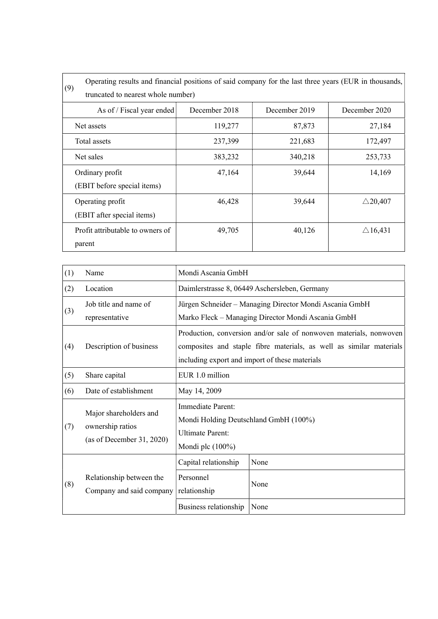|                                  | Operating results and financial positions of said company for the last three years (EUR in thousands, |               |               |                    |  |  |
|----------------------------------|-------------------------------------------------------------------------------------------------------|---------------|---------------|--------------------|--|--|
| (9)                              | truncated to nearest whole number)                                                                    |               |               |                    |  |  |
|                                  | As of / Fiscal year ended                                                                             | December 2018 | December 2019 | December 2020      |  |  |
| Net assets                       |                                                                                                       | 119,277       | 87,873        | 27,184             |  |  |
| Total assets                     |                                                                                                       | 237,399       | 221,683       | 172,497            |  |  |
| Net sales                        |                                                                                                       | 383,232       | 340,218       | 253,733            |  |  |
| Ordinary profit                  |                                                                                                       | 47,164        | 39,644        | 14,169             |  |  |
| (EBIT before special items)      |                                                                                                       |               |               |                    |  |  |
| Operating profit                 |                                                                                                       | 46,428        | 39,644        | $\triangle$ 20,407 |  |  |
| (EBIT after special items)       |                                                                                                       |               |               |                    |  |  |
| Profit attributable to owners of |                                                                                                       | 49,705        | 40,126        | $\triangle$ 16,431 |  |  |
| parent                           |                                                                                                       |               |               |                    |  |  |

| (1) | Name                                                                    | Mondi Ascania GmbH                                                                                           |                                                                                                                                                                                             |
|-----|-------------------------------------------------------------------------|--------------------------------------------------------------------------------------------------------------|---------------------------------------------------------------------------------------------------------------------------------------------------------------------------------------------|
| (2) | Location                                                                |                                                                                                              | Daimlerstrasse 8, 06449 Aschersleben, Germany                                                                                                                                               |
| (3) | Job title and name of<br>representative                                 |                                                                                                              | Jürgen Schneider - Managing Director Mondi Ascania GmbH<br>Marko Fleck - Managing Director Mondi Ascania GmbH                                                                               |
| (4) | Description of business                                                 |                                                                                                              | Production, conversion and/or sale of nonwoven materials, nonwoven<br>composites and staple fibre materials, as well as similar materials<br>including export and import of these materials |
| (5) | Share capital                                                           | EUR 1.0 million                                                                                              |                                                                                                                                                                                             |
| (6) | Date of establishment                                                   | May 14, 2009                                                                                                 |                                                                                                                                                                                             |
| (7) | Major shareholders and<br>ownership ratios<br>(as of December 31, 2020) | Immediate Parent:<br>Mondi Holding Deutschland GmbH (100%)<br><b>Ultimate Parent:</b><br>Mondi plc $(100\%)$ |                                                                                                                                                                                             |
|     |                                                                         | Capital relationship                                                                                         | None                                                                                                                                                                                        |
| (8) | Relationship between the<br>Company and said company                    | Personnel<br>relationship                                                                                    | None                                                                                                                                                                                        |
|     |                                                                         | Business relationship                                                                                        | None                                                                                                                                                                                        |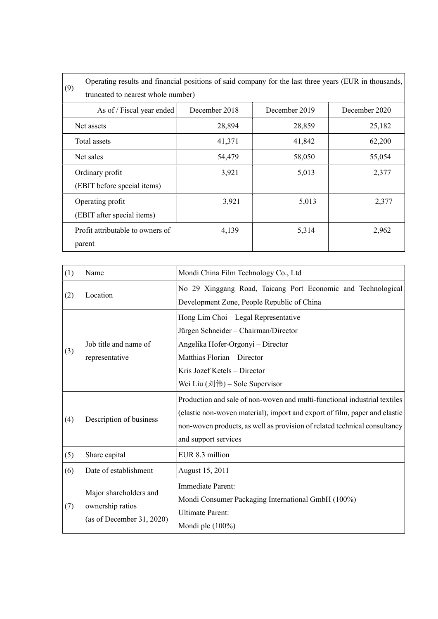| (9)                                | Operating results and financial positions of said company for the last three years (EUR in thousands, |               |               |  |  |
|------------------------------------|-------------------------------------------------------------------------------------------------------|---------------|---------------|--|--|
| truncated to nearest whole number) |                                                                                                       |               |               |  |  |
| As of / Fiscal year ended          | December 2018                                                                                         | December 2019 | December 2020 |  |  |
| Net assets                         | 28,894                                                                                                | 28,859        | 25,182        |  |  |
| Total assets                       | 41,371                                                                                                | 41,842        | 62,200        |  |  |
| Net sales                          | 54,479                                                                                                | 58,050        | 55,054        |  |  |
| Ordinary profit                    | 3,921                                                                                                 | 5,013         | 2,377         |  |  |
| (EBIT before special items)        |                                                                                                       |               |               |  |  |
| Operating profit                   | 3,921                                                                                                 | 5,013         | 2,377         |  |  |
| (EBIT after special items)         |                                                                                                       |               |               |  |  |
| Profit attributable to owners of   | 4,139                                                                                                 | 5,314         | 2,962         |  |  |
| parent                             |                                                                                                       |               |               |  |  |

| (1) | Name                                                                    | Mondi China Film Technology Co., Ltd                                                                                                                                                                                                                         |  |  |
|-----|-------------------------------------------------------------------------|--------------------------------------------------------------------------------------------------------------------------------------------------------------------------------------------------------------------------------------------------------------|--|--|
| (2) | Location                                                                | No 29 Xinggang Road, Taicang Port Economic and Technological<br>Development Zone, People Republic of China                                                                                                                                                   |  |  |
| (3) | Job title and name of<br>representative                                 | Hong Lim Choi - Legal Representative<br>Jürgen Schneider - Chairman/Director<br>Angelika Hofer-Orgonyi - Director<br>Matthias Florian - Director<br>Kris Jozef Ketels - Director<br>Wei Liu $(\vec{x}$ <sup>[</sup> $ \vec{f} )$ – Sole Supervisor           |  |  |
| (4) | Description of business                                                 | Production and sale of non-woven and multi-functional industrial textiles<br>(elastic non-woven material), import and export of film, paper and elastic<br>non-woven products, as well as provision of related technical consultancy<br>and support services |  |  |
| (5) | Share capital                                                           | EUR 8.3 million                                                                                                                                                                                                                                              |  |  |
| (6) | Date of establishment                                                   | August 15, 2011                                                                                                                                                                                                                                              |  |  |
| (7) | Major shareholders and<br>ownership ratios<br>(as of December 31, 2020) | Immediate Parent:<br>Mondi Consumer Packaging International GmbH (100%)<br><b>Ultimate Parent:</b><br>Mondi plc $(100\%)$                                                                                                                                    |  |  |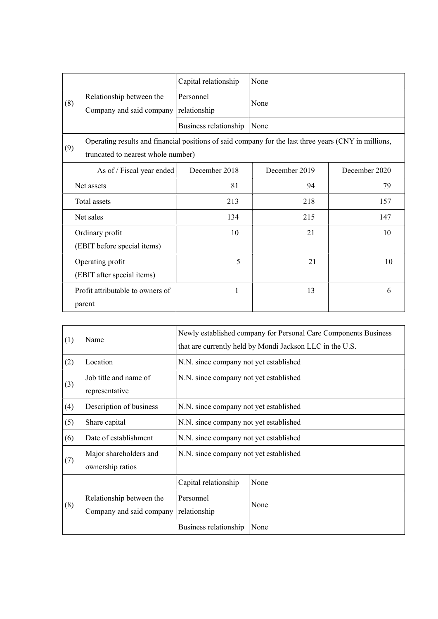|              |                                                                                                                                            | Capital relationship      | None          |               |
|--------------|--------------------------------------------------------------------------------------------------------------------------------------------|---------------------------|---------------|---------------|
| (8)          | Relationship between the<br>Company and said company                                                                                       | Personnel<br>relationship | None          |               |
|              |                                                                                                                                            | Business relationship     | None          |               |
| (9)          | Operating results and financial positions of said company for the last three years (CNY in millions,<br>truncated to nearest whole number) |                           |               |               |
|              | As of / Fiscal year ended                                                                                                                  | December 2018             | December 2019 | December 2020 |
| Net assets   |                                                                                                                                            | 81                        | 94            | 79            |
| Total assets |                                                                                                                                            | 213                       | 218           | 157           |
| Net sales    |                                                                                                                                            | 134                       | 215           | 147           |
|              | Ordinary profit<br>(EBIT before special items)                                                                                             | 10                        | 21            | 10            |
|              | Operating profit<br>(EBIT after special items)                                                                                             | 5                         | 21            | 10            |
|              | Profit attributable to owners of<br>parent                                                                                                 | $\mathbf{1}$              | 13            | 6             |

| (1) | Name                                                 | Newly established company for Personal Care Components Business<br>that are currently held by Mondi Jackson LLC in the U.S. |      |
|-----|------------------------------------------------------|-----------------------------------------------------------------------------------------------------------------------------|------|
| (2) | Location                                             | N.N. since company not yet established                                                                                      |      |
| (3) | Job title and name of<br>representative              | N.N. since company not yet established                                                                                      |      |
| (4) | Description of business                              | N.N. since company not yet established                                                                                      |      |
| (5) | Share capital                                        | N.N. since company not yet established                                                                                      |      |
| (6) | Date of establishment                                | N.N. since company not yet established                                                                                      |      |
| (7) | Major shareholders and<br>ownership ratios           | N.N. since company not yet established                                                                                      |      |
|     |                                                      | Capital relationship                                                                                                        | None |
| (8) | Relationship between the<br>Company and said company | Personnel<br>relationship                                                                                                   | None |
|     |                                                      | Business relationship                                                                                                       | None |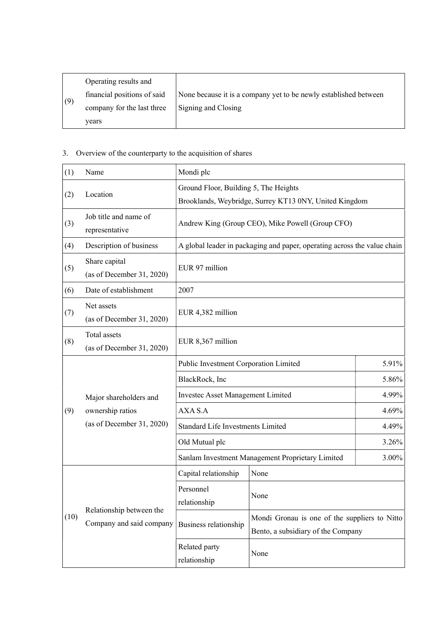|     | Operating results and       |                                                                  |
|-----|-----------------------------|------------------------------------------------------------------|
|     | financial positions of said | None because it is a company yet to be newly established between |
| (9) | company for the last three  | Signing and Closing                                              |
|     | years                       |                                                                  |

## 3. Overview of the counterparty to the acquisition of shares

| (1)  | Name                                                                    | Mondi plc                                        |                                                                                     |       |
|------|-------------------------------------------------------------------------|--------------------------------------------------|-------------------------------------------------------------------------------------|-------|
| (2)  | Location                                                                | Ground Floor, Building 5, The Heights            | Brooklands, Weybridge, Surrey KT13 0NY, United Kingdom                              |       |
| (3)  | Job title and name of<br>representative                                 |                                                  | Andrew King (Group CEO), Mike Powell (Group CFO)                                    |       |
| (4)  | Description of business                                                 |                                                  | A global leader in packaging and paper, operating across the value chain            |       |
| (5)  | Share capital<br>(as of December 31, 2020)                              | EUR 97 million                                   |                                                                                     |       |
| (6)  | Date of establishment                                                   | 2007                                             |                                                                                     |       |
| (7)  | Net assets<br>(as of December 31, 2020)                                 | EUR 4,382 million                                |                                                                                     |       |
| (8)  | Total assets<br>(as of December 31, 2020)                               | EUR 8,367 million                                |                                                                                     |       |
|      |                                                                         | Public Investment Corporation Limited            |                                                                                     | 5.91% |
|      |                                                                         | 5.86%<br>BlackRock, Inc                          |                                                                                     |       |
|      | Major shareholders and<br>ownership ratios<br>(as of December 31, 2020) | <b>Investec Asset Management Limited</b>         |                                                                                     | 4.99% |
| (9)  |                                                                         | 4.69%<br>AXA S.A                                 |                                                                                     |       |
|      |                                                                         | <b>Standard Life Investments Limited</b>         |                                                                                     | 4.49% |
|      |                                                                         | Old Mutual plc                                   |                                                                                     | 3.26% |
|      |                                                                         | Sanlam Investment Management Proprietary Limited |                                                                                     | 3.00% |
|      |                                                                         | Capital relationship                             | None                                                                                |       |
|      | Relationship between the<br>Company and said company                    | Personnel<br>relationship                        | None                                                                                |       |
| (10) |                                                                         | Business relationship                            | Mondi Gronau is one of the suppliers to Nitto<br>Bento, a subsidiary of the Company |       |
|      |                                                                         | Related party<br>relationship                    | None                                                                                |       |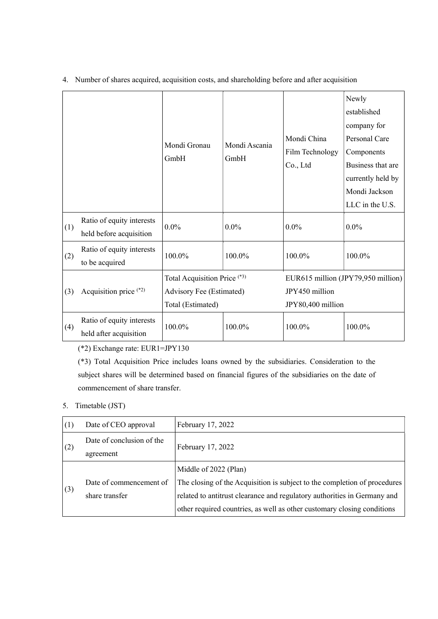|     |                                                      | Mondi Gronau<br>GmbH                                                          | Mondi Ascania<br>GmbH | Mondi China<br>Film Technology<br>Co., Ltd | Newly<br>established<br>company for<br>Personal Care<br>Components<br>Business that are<br>currently held by |
|-----|------------------------------------------------------|-------------------------------------------------------------------------------|-----------------------|--------------------------------------------|--------------------------------------------------------------------------------------------------------------|
|     |                                                      |                                                                               |                       |                                            | Mondi Jackson<br>LLC in the U.S.                                                                             |
| (1) | Ratio of equity interests<br>held before acquisition | $0.0\%$                                                                       | $0.0\%$               | $0.0\%$                                    | $0.0\%$                                                                                                      |
| (2) | Ratio of equity interests<br>to be acquired          | 100.0%                                                                        | 100.0%                | 100.0%                                     | 100.0%                                                                                                       |
| (3) | Acquisition price (*2)                               | Total Acquisition Price (*3)<br>Advisory Fee (Estimated)<br>Total (Estimated) |                       | JPY450 million<br>JPY80,400 million        | EUR615 million (JPY79,950 million)                                                                           |
| (4) | Ratio of equity interests<br>held after acquisition  | 100.0%                                                                        | 100.0%                | 100.0%                                     | 100.0%                                                                                                       |

4. Number of shares acquired, acquisition costs, and shareholding before and after acquisition

(\*2) Exchange rate: EUR1=JPY130

(\*3) Total Acquisition Price includes loans owned by the subsidiaries. Consideration to the subject shares will be determined based on financial figures of the subsidiaries on the date of commencement of share transfer.

### 5. Timetable (JST)

| (1) | Date of CEO approval      | February 17, 2022                                                         |  |
|-----|---------------------------|---------------------------------------------------------------------------|--|
|     | Date of conclusion of the | February 17, 2022                                                         |  |
| (2) | agreement                 |                                                                           |  |
|     |                           | Middle of 2022 (Plan)                                                     |  |
|     | Date of commencement of   | The closing of the Acquisition is subject to the completion of procedures |  |
| (3) | share transfer            | related to antitrust clearance and regulatory authorities in Germany and  |  |
|     |                           | other required countries, as well as other customary closing conditions   |  |